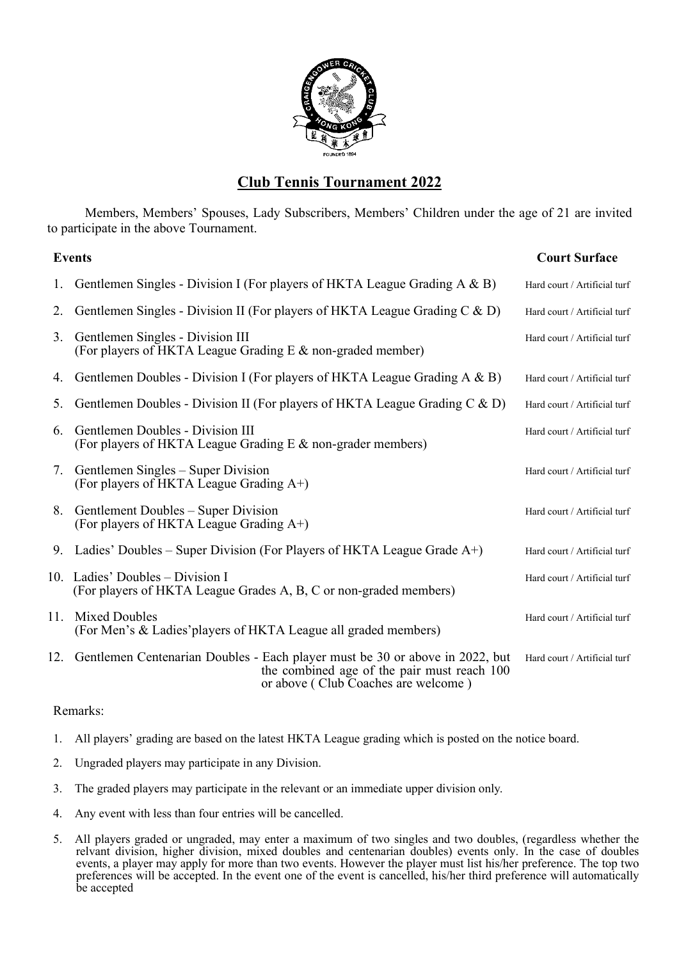

## **Club Tennis Tournament 2022**

Members, Members' Spouses, Lady Subscribers, Members' Children under the age of 21 are invited to participate in the above Tournament.

|    | <b>Events</b>                                                                                                                                                          | <b>Court Surface</b>         |
|----|------------------------------------------------------------------------------------------------------------------------------------------------------------------------|------------------------------|
|    | Gentlemen Singles - Division I (For players of HKTA League Grading $A \& B$ )                                                                                          | Hard court / Artificial turf |
| 2. | Gentlemen Singles - Division II (For players of HKTA League Grading $C & D$ )                                                                                          | Hard court / Artificial turf |
| 3. | Gentlemen Singles - Division III<br>(For players of HKTA League Grading E & non-graded member)                                                                         | Hard court / Artificial turf |
| 4. | Gentlemen Doubles - Division I (For players of HKTA League Grading A & B)                                                                                              | Hard court / Artificial turf |
| 5. | Gentlemen Doubles - Division II (For players of HKTA League Grading C & D)                                                                                             | Hard court / Artificial turf |
| 6. | Gentlemen Doubles - Division III<br>(For players of HKTA League Grading E & non-grader members)                                                                        | Hard court / Artificial turf |
| 7. | Gentlemen Singles – Super Division<br>(For players of HKTA League Grading A+)                                                                                          | Hard court / Artificial turf |
|    | 8. Gentlement Doubles – Super Division<br>(For players of HKTA League Grading $A^{+}$ )                                                                                | Hard court / Artificial turf |
| 9. | Ladies' Doubles – Super Division (For Players of HKTA League Grade $A+$ )                                                                                              | Hard court / Artificial turf |
|    | 10. Ladies' Doubles – Division I<br>(For players of HKTA League Grades A, B, C or non-graded members)                                                                  | Hard court / Artificial turf |
|    | 11. Mixed Doubles<br>(For Men's & Ladies' players of HKTA League all graded members)                                                                                   | Hard court / Artificial turf |
|    | 12. Gentlemen Centenarian Doubles - Each player must be 30 or above in 2022, but<br>the combined age of the pair must reach 100<br>or above (Club Coaches are welcome) | Hard court / Artificial turf |

## Remarks:

- 1. All players' grading are based on the latest HKTA League grading which is posted on the notice board.
- 2. Ungraded players may participate in any Division.
- 3. The graded players may participate in the relevant or an immediate upper division only.
- 4. Any event with less than four entries will be cancelled.
- 5. All players graded or ungraded, may enter a maximum of two singles and two doubles, (regardless whether the relvant division, higher division, mixed doubles and centenarian doubles) events only. In the case of doubles events, a player may apply for more than two events. However the player must list his/her preference. The top two preferences will be accepted. In the event one of the event is cancelled, his/her third preference will automatically be accepted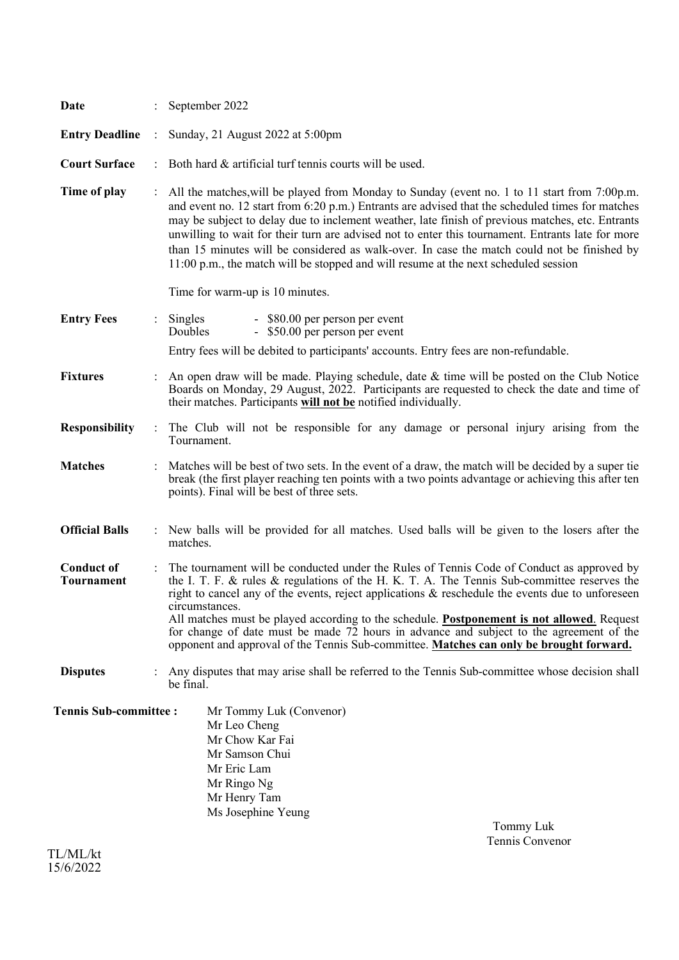| Date                                   |                      | September 2022                                                                                                                                                                                                                                                                                                                                                                                                                                                                                                                                                                                             |
|----------------------------------------|----------------------|------------------------------------------------------------------------------------------------------------------------------------------------------------------------------------------------------------------------------------------------------------------------------------------------------------------------------------------------------------------------------------------------------------------------------------------------------------------------------------------------------------------------------------------------------------------------------------------------------------|
| <b>Entry Deadline</b>                  | $\ddot{\cdot}$       | Sunday, 21 August 2022 at 5:00pm                                                                                                                                                                                                                                                                                                                                                                                                                                                                                                                                                                           |
| <b>Court Surface</b>                   |                      | Both hard & artificial turf tennis courts will be used.                                                                                                                                                                                                                                                                                                                                                                                                                                                                                                                                                    |
| Time of play                           |                      | : All the matches, will be played from Monday to Sunday (event no. 1 to 11 start from 7:00p.m.<br>and event no. 12 start from 6:20 p.m.) Entrants are advised that the scheduled times for matches<br>may be subject to delay due to inclement weather, late finish of previous matches, etc. Entrants<br>unwilling to wait for their turn are advised not to enter this tournament. Entrants late for more<br>than 15 minutes will be considered as walk-over. In case the match could not be finished by<br>11:00 p.m., the match will be stopped and will resume at the next scheduled session          |
|                                        |                      | Time for warm-up is 10 minutes.                                                                                                                                                                                                                                                                                                                                                                                                                                                                                                                                                                            |
| <b>Entry Fees</b>                      | $\ddot{\phantom{a}}$ | Singles<br>- \$80.00 per person per event<br>- \$50.00 per person per event<br>Doubles                                                                                                                                                                                                                                                                                                                                                                                                                                                                                                                     |
|                                        |                      | Entry fees will be debited to participants' accounts. Entry fees are non-refundable.                                                                                                                                                                                                                                                                                                                                                                                                                                                                                                                       |
| <b>Fixtures</b>                        |                      | An open draw will be made. Playing schedule, date $\&$ time will be posted on the Club Notice<br>Boards on Monday, 29 August, 2022. Participants are requested to check the date and time of<br>their matches. Participants will not be notified individually.                                                                                                                                                                                                                                                                                                                                             |
| <b>Responsibility</b>                  | $\ddot{\cdot}$       | The Club will not be responsible for any damage or personal injury arising from the<br>Tournament.                                                                                                                                                                                                                                                                                                                                                                                                                                                                                                         |
| <b>Matches</b>                         |                      | Matches will be best of two sets. In the event of a draw, the match will be decided by a super tie<br>break (the first player reaching ten points with a two points advantage or achieving this after ten<br>points). Final will be best of three sets.                                                                                                                                                                                                                                                                                                                                                    |
| <b>Official Balls</b>                  |                      | : New balls will be provided for all matches. Used balls will be given to the losers after the<br>matches.                                                                                                                                                                                                                                                                                                                                                                                                                                                                                                 |
| <b>Conduct of</b><br><b>Tournament</b> |                      | The tournament will be conducted under the Rules of Tennis Code of Conduct as approved by<br>the I. T. F. & rules & regulations of the H. K. T. A. The Tennis Sub-committee reserves the<br>right to cancel any of the events, reject applications & reschedule the events due to unforeseen<br>circumstances.<br>All matches must be played according to the schedule. <b>Postponement is not allowed</b> . Request<br>for change of date must be made 72 hours in advance and subject to the agreement of the<br>opponent and approval of the Tennis Sub-committee. Matches can only be brought forward. |
| <b>Disputes</b>                        |                      | Any disputes that may arise shall be referred to the Tennis Sub-committee whose decision shall<br>be final.                                                                                                                                                                                                                                                                                                                                                                                                                                                                                                |
| <b>Tennis Sub-committee:</b>           |                      | Mr Tommy Luk (Convenor)<br>Mr Leo Cheng<br>Mr Chow Kar Fai<br>Mr Samson Chui<br>Mr Eric Lam<br>Mr Ringo Ng<br>Mr Henry Tam<br>Ms Josephine Yeung<br>Tommy Luk<br>Tennis Convenor                                                                                                                                                                                                                                                                                                                                                                                                                           |

TL/ML/kt 15/6/2022